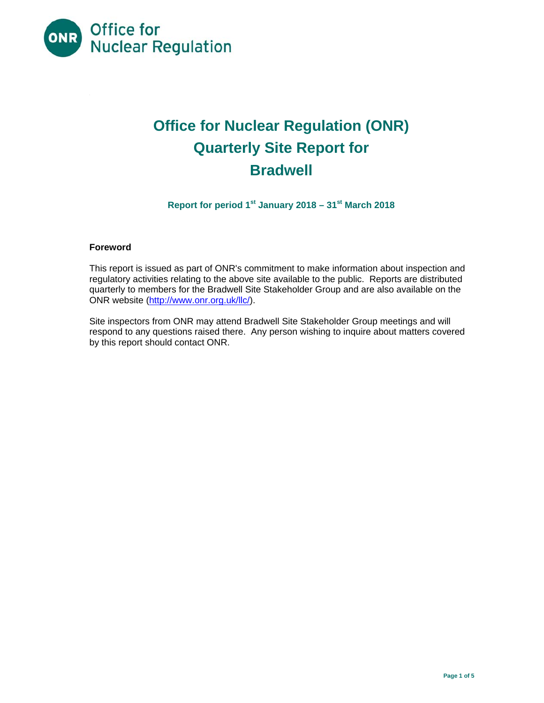

# **Office for Nuclear Regulation (ONR) Quarterly Site Report for Bradwell**

**Report for period 1st January 2018 – 31st March 2018** 

#### **Foreword**

This report is issued as part of ONR's commitment to make information about inspection and regulatory activities relating to the above site available to the public. Reports are distributed quarterly to members for the Bradwell Site Stakeholder Group and are also available on the ONR website (http://www.onr.org.uk/llc/).

Site inspectors from ONR may attend Bradwell Site Stakeholder Group meetings and will respond to any questions raised there. Any person wishing to inquire about matters covered by this report should contact ONR.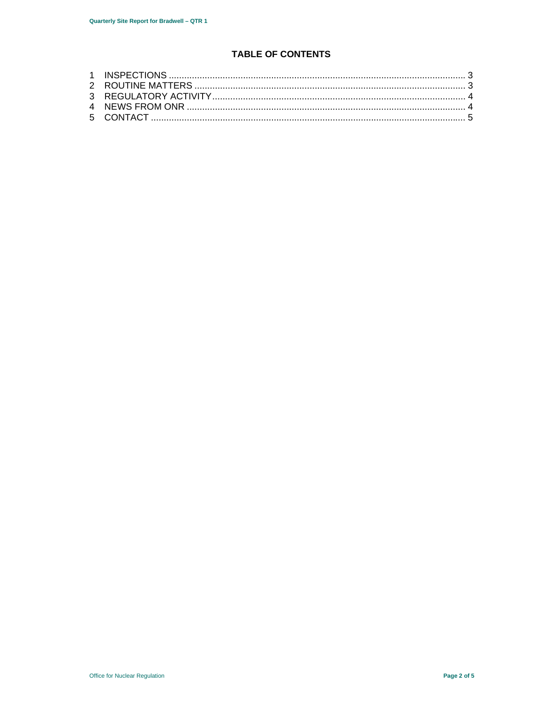# **TABLE OF CONTENTS**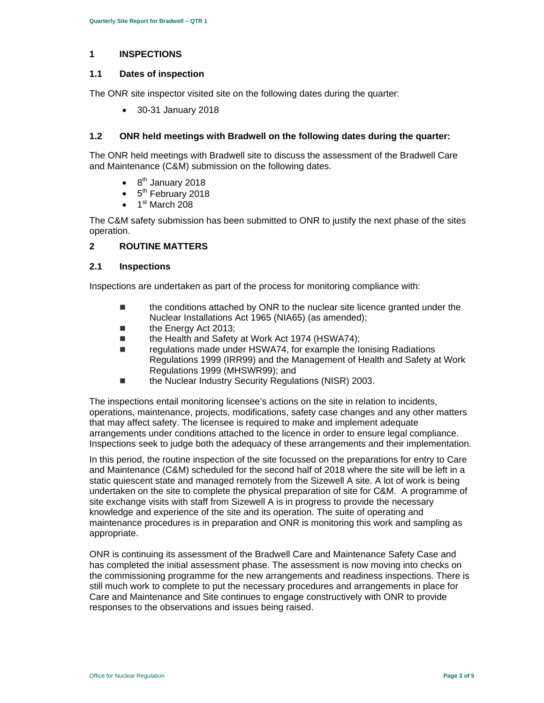#### **1 INSPECTIONS**

#### **1.1 Dates of inspection**

The ONR site inspector visited site on the following dates during the quarter:

30-31 January 2018

#### **1.2 ONR held meetings with Bradwell on the following dates during the quarter:**

The ONR held meetings with Bradwell site to discuss the assessment of the Bradwell Care and Maintenance (C&M) submission on the following dates.

- 8<sup>th</sup> January 2018
- $\bullet$  5<sup>th</sup> February 2018
- 1<sup>st</sup> March 208

The C&M safety submission has been submitted to ONR to justify the next phase of the sites operation.

#### **2 ROUTINE MATTERS**

#### **2.1 Inspections**

Inspections are undertaken as part of the process for monitoring compliance with:

- the conditions attached by ONR to the nuclear site licence granted under the Nuclear Installations Act 1965 (NIA65) (as amended);
- **the Energy Act 2013:**
- the Health and Safety at Work Act 1974 (HSWA74);
- regulations made under HSWA74, for example the Ionising Radiations Regulations 1999 (IRR99) and the Management of Health and Safety at Work Regulations 1999 (MHSWR99); and
- the Nuclear Industry Security Regulations (NISR) 2003.

The inspections entail monitoring licensee's actions on the site in relation to incidents, operations, maintenance, projects, modifications, safety case changes and any other matters that may affect safety. The licensee is required to make and implement adequate arrangements under conditions attached to the licence in order to ensure legal compliance. Inspections seek to judge both the adequacy of these arrangements and their implementation.

In this period, the routine inspection of the site focussed on the preparations for entry to Care and Maintenance (C&M) scheduled for the second half of 2018 where the site will be left in a static quiescent state and managed remotely from the Sizewell A site. A lot of work is being undertaken on the site to complete the physical preparation of site for C&M. A programme of site exchange visits with staff from Sizewell A is in progress to provide the necessary knowledge and experience of the site and its operation. The suite of operating and maintenance procedures is in preparation and ONR is monitoring this work and sampling as appropriate.

ONR is continuing its assessment of the Bradwell Care and Maintenance Safety Case and has completed the initial assessment phase. The assessment is now moving into checks on the commissioning programme for the new arrangements and readiness inspections. There is still much work to complete to put the necessary procedures and arrangements in place for Care and Maintenance and Site continues to engage constructively with ONR to provide responses to the observations and issues being raised.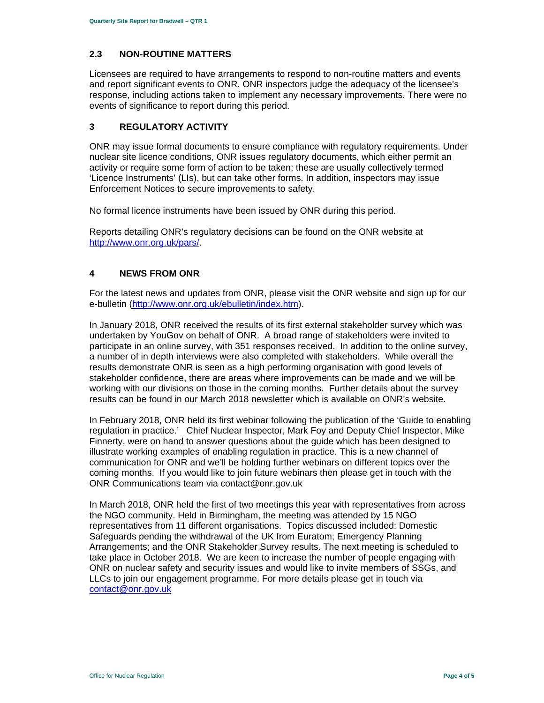# **2.3 NON-ROUTINE MATTERS**

Licensees are required to have arrangements to respond to non-routine matters and events and report significant events to ONR. ONR inspectors judge the adequacy of the licensee's response, including actions taken to implement any necessary improvements. There were no events of significance to report during this period.

## **3 REGULATORY ACTIVITY**

ONR may issue formal documents to ensure compliance with regulatory requirements. Under nuclear site licence conditions, ONR issues regulatory documents, which either permit an activity or require some form of action to be taken; these are usually collectively termed 'Licence Instruments' (LIs), but can take other forms. In addition, inspectors may issue Enforcement Notices to secure improvements to safety.

No formal licence instruments have been issued by ONR during this period.

Reports detailing ONR's regulatory decisions can be found on the ONR website at http://www.onr.org.uk/pars/.

### **4 NEWS FROM ONR**

For the latest news and updates from ONR, please visit the ONR website and sign up for our e-bulletin (http://www.onr.org.uk/ebulletin/index.htm).

In January 2018, ONR received the results of its first external stakeholder survey which was undertaken by YouGov on behalf of ONR. A broad range of stakeholders were invited to participate in an online survey, with 351 responses received. In addition to the online survey, a number of in depth interviews were also completed with stakeholders. While overall the results demonstrate ONR is seen as a high performing organisation with good levels of stakeholder confidence, there are areas where improvements can be made and we will be working with our divisions on those in the coming months. Further details about the survey results can be found in our March 2018 newsletter which is available on ONR's website.

In February 2018, ONR held its first webinar following the publication of the 'Guide to enabling regulation in practice.' Chief Nuclear Inspector, Mark Foy and Deputy Chief Inspector, Mike Finnerty, were on hand to answer questions about the guide which has been designed to illustrate working examples of enabling regulation in practice. This is a new channel of communication for ONR and we'll be holding further webinars on different topics over the coming months. If you would like to join future webinars then please get in touch with the ONR Communications team via contact@onr.gov.uk

In March 2018, ONR held the first of two meetings this year with representatives from across the NGO community. Held in Birmingham, the meeting was attended by 15 NGO representatives from 11 different organisations. Topics discussed included: Domestic Safeguards pending the withdrawal of the UK from Euratom; Emergency Planning Arrangements; and the ONR Stakeholder Survey results. The next meeting is scheduled to take place in October 2018. We are keen to increase the number of people engaging with ONR on nuclear safety and security issues and would like to invite members of SSGs, and LLCs to join our engagement programme. For more details please get in touch via contact@onr.gov.uk